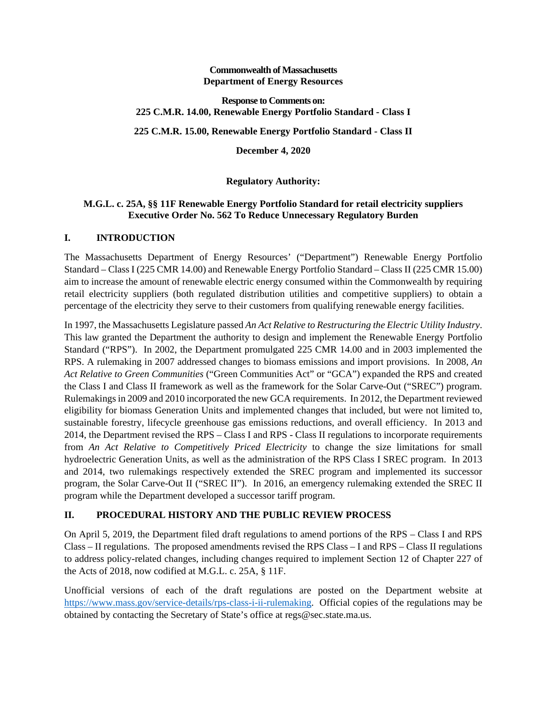#### **Commonwealth of Massachusetts Department of Energy Resources**

#### **Response to Comments on: 225 C.M.R. 14.00, Renewable Energy Portfolio Standard - Class I**

### **225 C.M.R. 15.00, Renewable Energy Portfolio Standard - Class II**

**December 4, 2020**

# **Regulatory Authority:**

### **M.G.L. c. 25A, §§ 11F Renewable Energy Portfolio Standard for retail electricity suppliers Executive Order No. 562 To Reduce Unnecessary Regulatory Burden**

## **I. INTRODUCTION**

The Massachusetts Department of Energy Resources' ("Department") Renewable Energy Portfolio Standard – Class I (225 CMR 14.00) and Renewable Energy Portfolio Standard – Class II (225 CMR 15.00) aim to increase the amount of renewable electric energy consumed within the Commonwealth by requiring retail electricity suppliers (both regulated distribution utilities and competitive suppliers) to obtain a percentage of the electricity they serve to their customers from qualifying renewable energy facilities.

In 1997, the Massachusetts Legislature passed *An Act Relative to Restructuring the Electric Utility Industry*. This law granted the Department the authority to design and implement the Renewable Energy Portfolio Standard ("RPS"). In 2002, the Department promulgated 225 CMR 14.00 and in 2003 implemented the RPS. A rulemaking in 2007 addressed changes to biomass emissions and import provisions. In 2008, *An Act Relative to Green Communities* ("Green Communities Act" or "GCA") expanded the RPS and created the Class I and Class II framework as well as the framework for the Solar Carve-Out ("SREC") program. Rulemakings in 2009 and 2010 incorporated the new GCA requirements. In 2012, the Department reviewed eligibility for biomass Generation Units and implemented changes that included, but were not limited to, sustainable forestry, lifecycle greenhouse gas emissions reductions, and overall efficiency. In 2013 and 2014, the Department revised the RPS – Class I and RPS - Class II regulations to incorporate requirements from *An Act Relative to Competitively Priced Electricity* to change the size limitations for small hydroelectric Generation Units, as well as the administration of the RPS Class I SREC program. In 2013 and 2014, two rulemakings respectively extended the SREC program and implemented its successor program, the Solar Carve-Out II ("SREC II"). In 2016, an emergency rulemaking extended the SREC II program while the Department developed a successor tariff program.

## **II. PROCEDURAL HISTORY AND THE PUBLIC REVIEW PROCESS**

On April 5, 2019, the Department filed draft regulations to amend portions of the RPS – Class I and RPS Class – II regulations. The proposed amendments revised the RPS Class – I and RPS – Class II regulations to address policy-related changes, including changes required to implement Section 12 of Chapter 227 of the Acts of 2018, now codified at M.G.L. c. 25A, § 11F.

Unofficial versions of each of the draft regulations are posted on the Department website at [https://www.mass.gov/service-details/rps-class-i-ii-rulemaking.](https://www.mass.gov/service-details/rps-class-i-ii-rulemaking) Official copies of the regulations may be obtained by contacting the Secretary of State's office at regs@sec.state.ma.us.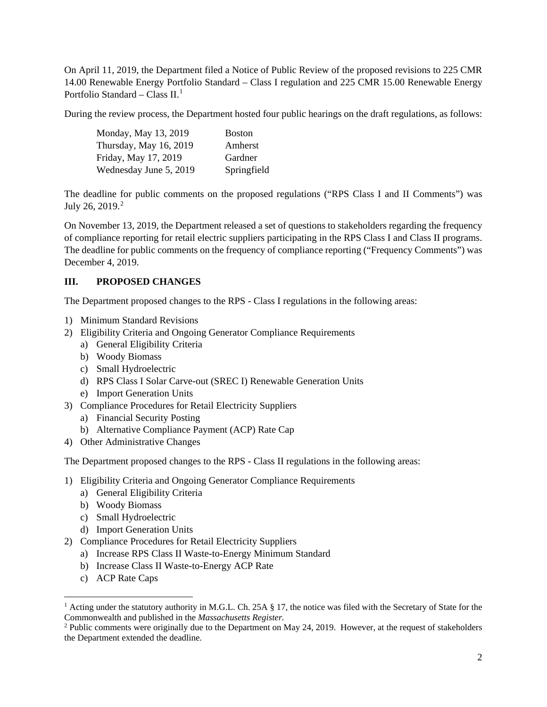On April 11, 2019, the Department filed a Notice of Public Review of the proposed revisions to 225 CMR 14.00 Renewable Energy Portfolio Standard – Class I regulation and 225 CMR 15.00 Renewable Energy Portfolio Standard – Class  $II.$ <sup>[1](#page-1-0)</sup>

During the review process, the Department hosted four public hearings on the draft regulations, as follows:

| Monday, May 13, 2019   | <b>Boston</b> |
|------------------------|---------------|
| Thursday, May 16, 2019 | Amherst       |
| Friday, May 17, 2019   | Gardner       |
| Wednesday June 5, 2019 | Springfield   |

The deadline for public comments on the proposed regulations ("RPS Class I and II Comments") was July [2](#page-1-1)6, 2019.<sup>2</sup>

On November 13, 2019, the Department released a set of questions to stakeholders regarding the frequency of compliance reporting for retail electric suppliers participating in the RPS Class I and Class II programs. The deadline for public comments on the frequency of compliance reporting ("Frequency Comments") was December 4, 2019.

### **III. PROPOSED CHANGES**

The Department proposed changes to the RPS - Class I regulations in the following areas:

- 1) Minimum Standard Revisions
- 2) Eligibility Criteria and Ongoing Generator Compliance Requirements
	- a) General Eligibility Criteria
	- b) Woody Biomass
	- c) Small Hydroelectric
	- d) RPS Class I Solar Carve-out (SREC I) Renewable Generation Units
	- e) Import Generation Units
- 3) Compliance Procedures for Retail Electricity Suppliers
	- a) Financial Security Posting
	- b) Alternative Compliance Payment (ACP) Rate Cap
- 4) Other Administrative Changes

The Department proposed changes to the RPS - Class II regulations in the following areas:

- 1) Eligibility Criteria and Ongoing Generator Compliance Requirements
	- a) General Eligibility Criteria
	- b) Woody Biomass
	- c) Small Hydroelectric
	- d) Import Generation Units
- 2) Compliance Procedures for Retail Electricity Suppliers
	- a) Increase RPS Class II Waste-to-Energy Minimum Standard
	- b) Increase Class II Waste-to-Energy ACP Rate
	- c) ACP Rate Caps

<span id="page-1-0"></span><sup>&</sup>lt;sup>1</sup> Acting under the statutory authority in M.G.L. Ch. 25A § 17, the notice was filed with the Secretary of State for the Commonwealth and published in the *Massachusetts Register.*

<span id="page-1-1"></span> $2$  Public comments were originally due to the Department on May 24, 2019. However, at the request of stakeholders the Department extended the deadline.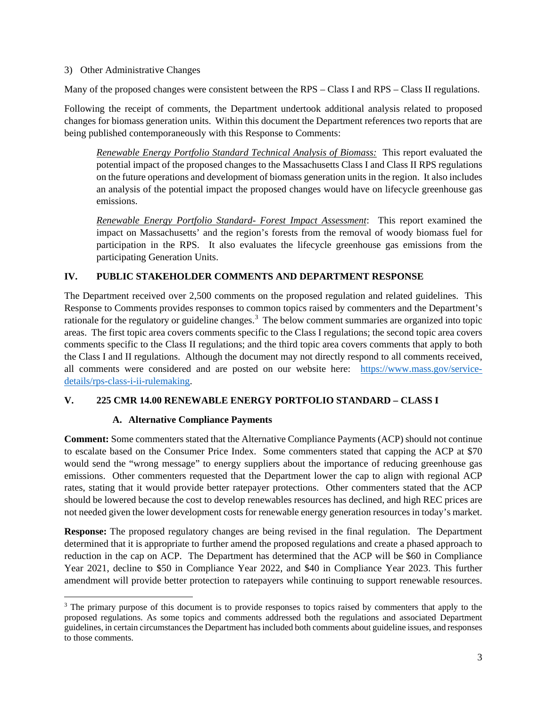3) Other Administrative Changes

Many of the proposed changes were consistent between the RPS – Class I and RPS – Class II regulations.

Following the receipt of comments, the Department undertook additional analysis related to proposed changes for biomass generation units. Within this document the Department references two reports that are being published contemporaneously with this Response to Comments:

*Renewable Energy Portfolio Standard Technical Analysis of Biomass:* This report evaluated the potential impact of the proposed changes to the Massachusetts Class I and Class II RPS regulations on the future operations and development of biomass generation units in the region. It also includes an analysis of the potential impact the proposed changes would have on lifecycle greenhouse gas emissions.

*Renewable Energy Portfolio Standard- Forest Impact Assessment*: This report examined the impact on Massachusetts' and the region's forests from the removal of woody biomass fuel for participation in the RPS. It also evaluates the lifecycle greenhouse gas emissions from the participating Generation Units.

### **IV. PUBLIC STAKEHOLDER COMMENTS AND DEPARTMENT RESPONSE**

The Department received over 2,500 comments on the proposed regulation and related guidelines. This Response to Comments provides responses to common topics raised by commenters and the Department's rationale for the regulatory or guideline changes.<sup>[3](#page-2-0)</sup> The below comment summaries are organized into topic areas. The first topic area covers comments specific to the Class I regulations; the second topic area covers comments specific to the Class II regulations; and the third topic area covers comments that apply to both the Class I and II regulations. Although the document may not directly respond to all comments received, all comments were considered and are posted on our website here: [https://www.mass.gov/service](https://www.mass.gov/service-details/rps-class-i-ii-rulemaking)[details/rps-class-i-ii-rulemaking.](https://www.mass.gov/service-details/rps-class-i-ii-rulemaking)

### **V. 225 CMR 14.00 RENEWABLE ENERGY PORTFOLIO STANDARD – CLASS I**

## **A. Alternative Compliance Payments**

**Comment:** Some commenters stated that the Alternative Compliance Payments (ACP) should not continue to escalate based on the Consumer Price Index. Some commenters stated that capping the ACP at \$70 would send the "wrong message" to energy suppliers about the importance of reducing greenhouse gas emissions. Other commenters requested that the Department lower the cap to align with regional ACP rates, stating that it would provide better ratepayer protections. Other commenters stated that the ACP should be lowered because the cost to develop renewables resources has declined, and high REC prices are not needed given the lower development costs for renewable energy generation resources in today's market.

**Response:** The proposed regulatory changes are being revised in the final regulation. The Department determined that it is appropriate to further amend the proposed regulations and create a phased approach to reduction in the cap on ACP. The Department has determined that the ACP will be \$60 in Compliance Year 2021, decline to \$50 in Compliance Year 2022, and \$40 in Compliance Year 2023. This further amendment will provide better protection to ratepayers while continuing to support renewable resources.

<span id="page-2-0"></span><sup>&</sup>lt;sup>3</sup> The primary purpose of this document is to provide responses to topics raised by commenters that apply to the proposed regulations. As some topics and comments addressed both the regulations and associated Department guidelines, in certain circumstances the Department has included both comments about guideline issues, and responses to those comments.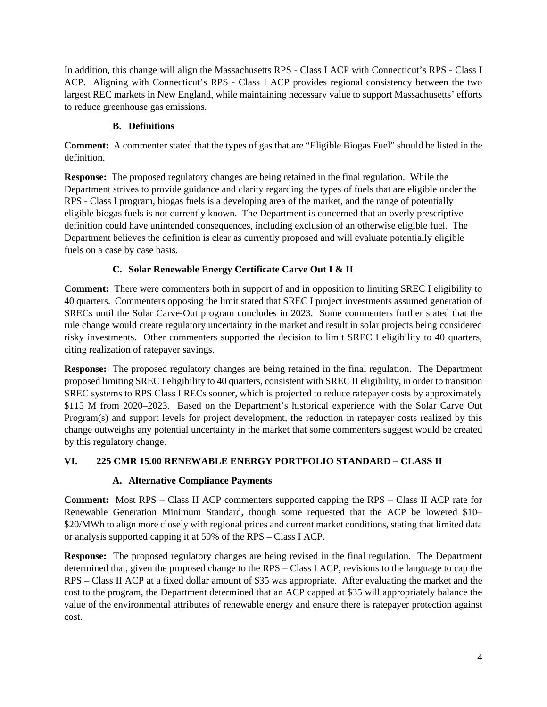In addition, this change will align the Massachusetts RPS - Class I ACP with Connecticut's RPS - Class I ACP. Aligning with Connecticut's RPS - Class I ACP provides regional consistency between the two largest REC markets in New England, while maintaining necessary value to support Massachusetts' efforts to reduce greenhouse gas emissions.

# **B. Definitions**

**Comment:** A commenter stated that the types of gas that are "Eligible Biogas Fuel" should be listed in the definition.

**Response:** The proposed regulatory changes are being retained in the final regulation. While the Department strives to provide guidance and clarity regarding the types of fuels that are eligible under the RPS - Class I program, biogas fuels is a developing area of the market, and the range of potentially eligible biogas fuels is not currently known. The Department is concerned that an overly prescriptive definition could have unintended consequences, including exclusion of an otherwise eligible fuel. The Department believes the definition is clear as currently proposed and will evaluate potentially eligible fuels on a case by case basis.

# **C. Solar Renewable Energy Certificate Carve Out I & II**

**Comment:** There were commenters both in support of and in opposition to limiting SREC I eligibility to 40 quarters. Commenters opposing the limit stated that SREC I project investments assumed generation of SRECs until the Solar Carve-Out program concludes in 2023. Some commenters further stated that the rule change would create regulatory uncertainty in the market and result in solar projects being considered risky investments. Other commenters supported the decision to limit SREC I eligibility to 40 quarters, citing realization of ratepayer savings.

**Response:** The proposed regulatory changes are being retained in the final regulation. The Department proposed limiting SREC I eligibility to 40 quarters, consistent with SREC II eligibility, in order to transition SREC systems to RPS Class I RECs sooner, which is projected to reduce ratepayer costs by approximately \$115 M from 2020–2023. Based on the Department's historical experience with the Solar Carve Out Program(s) and support levels for project development, the reduction in ratepayer costs realized by this change outweighs any potential uncertainty in the market that some commenters suggest would be created by this regulatory change.

# **VI. 225 CMR 15.00 RENEWABLE ENERGY PORTFOLIO STANDARD – CLASS II**

# **A. Alternative Compliance Payments**

**Comment:** Most RPS – Class II ACP commenters supported capping the RPS – Class II ACP rate for Renewable Generation Minimum Standard, though some requested that the ACP be lowered \$10– \$20/MWh to align more closely with regional prices and current market conditions, stating that limited data or analysis supported capping it at 50% of the RPS – Class I ACP.

**Response:** The proposed regulatory changes are being revised in the final regulation. The Department determined that, given the proposed change to the RPS – Class I ACP, revisions to the language to cap the RPS – Class II ACP at a fixed dollar amount of \$35 was appropriate. After evaluating the market and the cost to the program, the Department determined that an ACP capped at \$35 will appropriately balance the value of the environmental attributes of renewable energy and ensure there is ratepayer protection against cost.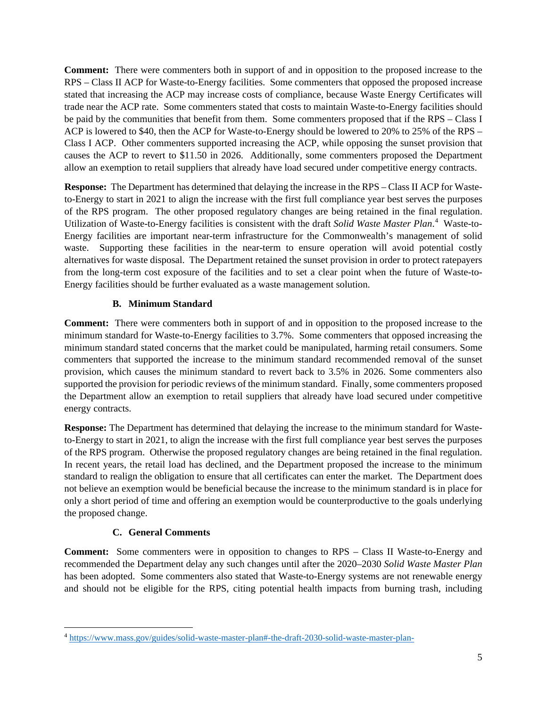**Comment:** There were commenters both in support of and in opposition to the proposed increase to the RPS – Class II ACP for Waste-to-Energy facilities. Some commenters that opposed the proposed increase stated that increasing the ACP may increase costs of compliance, because Waste Energy Certificates will trade near the ACP rate. Some commenters stated that costs to maintain Waste-to-Energy facilities should be paid by the communities that benefit from them. Some commenters proposed that if the RPS – Class I ACP is lowered to \$40, then the ACP for Waste-to-Energy should be lowered to 20% to 25% of the RPS – Class I ACP. Other commenters supported increasing the ACP, while opposing the sunset provision that causes the ACP to revert to \$11.50 in 2026. Additionally, some commenters proposed the Department allow an exemption to retail suppliers that already have load secured under competitive energy contracts.

**Response:** The Department has determined that delaying the increase in the RPS – Class II ACP for Wasteto-Energy to start in 2021 to align the increase with the first full compliance year best serves the purposes of the RPS program. The other proposed regulatory changes are being retained in the final regulation. Utilization of Waste-to-Energy facilities is consistent with the draft *Solid Waste Master Plan*. [4](#page-4-0) Waste-to-Energy facilities are important near-term infrastructure for the Commonwealth's management of solid waste. Supporting these facilities in the near-term to ensure operation will avoid potential costly alternatives for waste disposal. The Department retained the sunset provision in order to protect ratepayers from the long-term cost exposure of the facilities and to set a clear point when the future of Waste-to-Energy facilities should be further evaluated as a waste management solution.

# **B. Minimum Standard**

**Comment:** There were commenters both in support of and in opposition to the proposed increase to the minimum standard for Waste-to-Energy facilities to 3.7%. Some commenters that opposed increasing the minimum standard stated concerns that the market could be manipulated, harming retail consumers. Some commenters that supported the increase to the minimum standard recommended removal of the sunset provision, which causes the minimum standard to revert back to 3.5% in 2026. Some commenters also supported the provision for periodic reviews of the minimum standard. Finally, some commenters proposed the Department allow an exemption to retail suppliers that already have load secured under competitive energy contracts.

**Response:** The Department has determined that delaying the increase to the minimum standard for Wasteto-Energy to start in 2021, to align the increase with the first full compliance year best serves the purposes of the RPS program. Otherwise the proposed regulatory changes are being retained in the final regulation. In recent years, the retail load has declined, and the Department proposed the increase to the minimum standard to realign the obligation to ensure that all certificates can enter the market. The Department does not believe an exemption would be beneficial because the increase to the minimum standard is in place for only a short period of time and offering an exemption would be counterproductive to the goals underlying the proposed change.

## **C. General Comments**

**Comment:** Some commenters were in opposition to changes to RPS – Class II Waste-to-Energy and recommended the Department delay any such changes until after the 2020–2030 *Solid Waste Master Plan* has been adopted. Some commenters also stated that Waste-to-Energy systems are not renewable energy and should not be eligible for the RPS, citing potential health impacts from burning trash, including

<span id="page-4-0"></span><sup>4</sup> <https://www.mass.gov/guides/solid-waste-master-plan#-the-draft-2030-solid-waste-master-plan->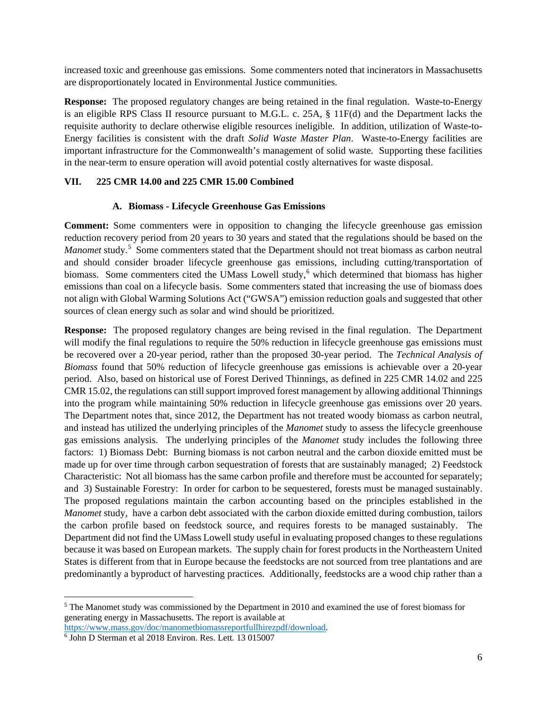increased toxic and greenhouse gas emissions. Some commenters noted that incinerators in Massachusetts are disproportionately located in Environmental Justice communities.

**Response:** The proposed regulatory changes are being retained in the final regulation. Waste-to-Energy is an eligible RPS Class II resource pursuant to M.G.L. c. 25A, § 11F(d) and the Department lacks the requisite authority to declare otherwise eligible resources ineligible. In addition, utilization of Waste-to-Energy facilities is consistent with the draft *Solid Waste Master Plan*. Waste-to-Energy facilities are important infrastructure for the Commonwealth's management of solid waste. Supporting these facilities in the near-term to ensure operation will avoid potential costly alternatives for waste disposal.

### **VII. 225 CMR 14.00 and 225 CMR 15.00 Combined**

### **A. Biomass - Lifecycle Greenhouse Gas Emissions**

**Comment:** Some commenters were in opposition to changing the lifecycle greenhouse gas emission reduction recovery period from 20 years to 30 years and stated that the regulations should be based on the Manomet study.<sup>[5](#page-5-0)</sup> Some commenters stated that the Department should not treat biomass as carbon neutral and should consider broader lifecycle greenhouse gas emissions, including cutting/transportation of biomass. Some commenters cited the UMass Lowell study,<sup>[6](#page-5-1)</sup> which determined that biomass has higher emissions than coal on a lifecycle basis. Some commenters stated that increasing the use of biomass does not align with Global Warming Solutions Act ("GWSA") emission reduction goals and suggested that other sources of clean energy such as solar and wind should be prioritized.

**Response:** The proposed regulatory changes are being revised in the final regulation. The Department will modify the final regulations to require the 50% reduction in lifecycle greenhouse gas emissions must be recovered over a 20-year period, rather than the proposed 30-year period. The *Technical Analysis of Biomass* found that 50% reduction of lifecycle greenhouse gas emissions is achievable over a 20-year period. Also, based on historical use of Forest Derived Thinnings, as defined in 225 CMR 14.02 and 225 CMR 15.02, the regulations can still support improved forest management by allowing additional Thinnings into the program while maintaining 50% reduction in lifecycle greenhouse gas emissions over 20 years. The Department notes that, since 2012, the Department has not treated woody biomass as carbon neutral, and instead has utilized the underlying principles of the *Manomet* study to assess the lifecycle greenhouse gas emissions analysis. The underlying principles of the *Manomet* study includes the following three factors: 1) Biomass Debt: Burning biomass is not carbon neutral and the carbon dioxide emitted must be made up for over time through carbon sequestration of forests that are sustainably managed; 2) Feedstock Characteristic: Not all biomass has the same carbon profile and therefore must be accounted for separately; and 3) Sustainable Forestry: In order for carbon to be sequestered, forests must be managed sustainably. The proposed regulations maintain the carbon accounting based on the principles established in the *Manomet* study, have a carbon debt associated with the carbon dioxide emitted during combustion, tailors the carbon profile based on feedstock source, and requires forests to be managed sustainably. The Department did not find the UMass Lowell study useful in evaluating proposed changes to these regulations because it was based on European markets. The supply chain for forest products in the Northeastern United States is different from that in Europe because the feedstocks are not sourced from tree plantations and are predominantly a byproduct of harvesting practices. Additionally, feedstocks are a wood chip rather than a

<span id="page-5-0"></span><sup>5</sup> The Manomet study was commissioned by the Department in 2010 and examined the use of forest biomass for generating energy in Massachusetts. The report is available at

<span id="page-5-1"></span>[https://www.mass.gov/doc/manometbiomassreportfullhirezpdf/download.](https://www.mass.gov/doc/manometbiomassreportfullhirezpdf/download) 6 John D Sterman et al 2018 Environ. Res. Lett. 13 015007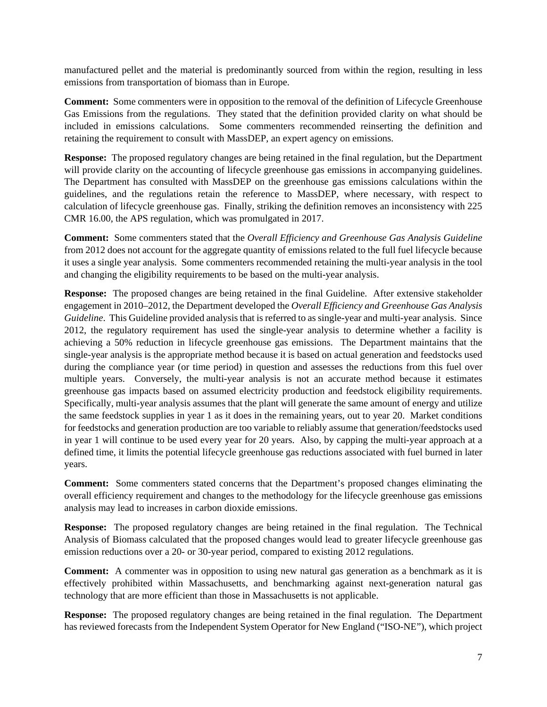manufactured pellet and the material is predominantly sourced from within the region, resulting in less emissions from transportation of biomass than in Europe.

**Comment:** Some commenters were in opposition to the removal of the definition of Lifecycle Greenhouse Gas Emissions from the regulations. They stated that the definition provided clarity on what should be included in emissions calculations. Some commenters recommended reinserting the definition and retaining the requirement to consult with MassDEP, an expert agency on emissions.

**Response:** The proposed regulatory changes are being retained in the final regulation, but the Department will provide clarity on the accounting of lifecycle greenhouse gas emissions in accompanying guidelines. The Department has consulted with MassDEP on the greenhouse gas emissions calculations within the guidelines, and the regulations retain the reference to MassDEP, where necessary, with respect to calculation of lifecycle greenhouse gas. Finally, striking the definition removes an inconsistency with 225 CMR 16.00, the APS regulation, which was promulgated in 2017.

**Comment:** Some commenters stated that the *Overall Efficiency and Greenhouse Gas Analysis Guideline* from 2012 does not account for the aggregate quantity of emissions related to the full fuel lifecycle because it uses a single year analysis. Some commenters recommended retaining the multi-year analysis in the tool and changing the eligibility requirements to be based on the multi-year analysis.

**Response:** The proposed changes are being retained in the final Guideline. After extensive stakeholder engagement in 2010–2012, the Department developed the *Overall Efficiency and Greenhouse Gas Analysis Guideline*. This Guideline provided analysis that is referred to as single-year and multi-year analysis. Since 2012, the regulatory requirement has used the single-year analysis to determine whether a facility is achieving a 50% reduction in lifecycle greenhouse gas emissions. The Department maintains that the single-year analysis is the appropriate method because it is based on actual generation and feedstocks used during the compliance year (or time period) in question and assesses the reductions from this fuel over multiple years. Conversely, the multi-year analysis is not an accurate method because it estimates greenhouse gas impacts based on assumed electricity production and feedstock eligibility requirements. Specifically, multi-year analysis assumes that the plant will generate the same amount of energy and utilize the same feedstock supplies in year 1 as it does in the remaining years, out to year 20. Market conditions for feedstocks and generation production are too variable to reliably assume that generation/feedstocks used in year 1 will continue to be used every year for 20 years. Also, by capping the multi-year approach at a defined time, it limits the potential lifecycle greenhouse gas reductions associated with fuel burned in later years.

**Comment:** Some commenters stated concerns that the Department's proposed changes eliminating the overall efficiency requirement and changes to the methodology for the lifecycle greenhouse gas emissions analysis may lead to increases in carbon dioxide emissions.

**Response:** The proposed regulatory changes are being retained in the final regulation. The Technical Analysis of Biomass calculated that the proposed changes would lead to greater lifecycle greenhouse gas emission reductions over a 20- or 30-year period, compared to existing 2012 regulations.

**Comment:** A commenter was in opposition to using new natural gas generation as a benchmark as it is effectively prohibited within Massachusetts, and benchmarking against next-generation natural gas technology that are more efficient than those in Massachusetts is not applicable.

**Response:** The proposed regulatory changes are being retained in the final regulation. The Department has reviewed forecasts from the Independent System Operator for New England ("ISO-NE"), which project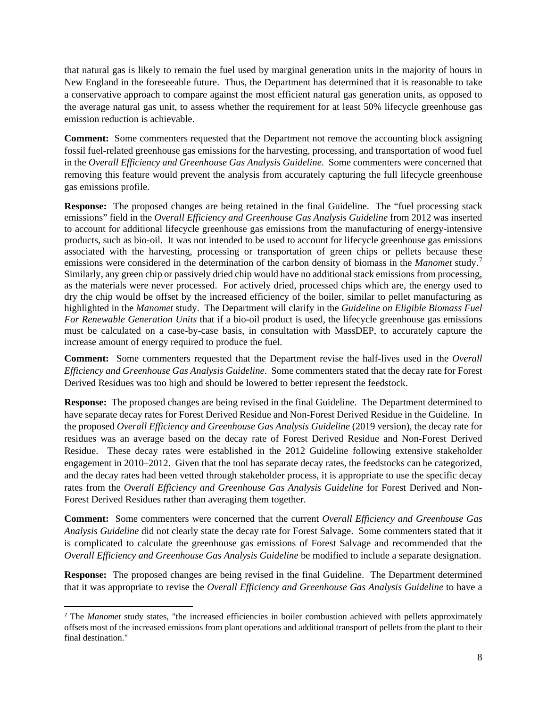that natural gas is likely to remain the fuel used by marginal generation units in the majority of hours in New England in the foreseeable future. Thus, the Department has determined that it is reasonable to take a conservative approach to compare against the most efficient natural gas generation units, as opposed to the average natural gas unit, to assess whether the requirement for at least 50% lifecycle greenhouse gas emission reduction is achievable.

**Comment:** Some commenters requested that the Department not remove the accounting block assigning fossil fuel-related greenhouse gas emissions for the harvesting, processing, and transportation of wood fuel in the *Overall Efficiency and Greenhouse Gas Analysis Guideline*. Some commenters were concerned that removing this feature would prevent the analysis from accurately capturing the full lifecycle greenhouse gas emissions profile.

**Response:** The proposed changes are being retained in the final Guideline. The "fuel processing stack emissions" field in the *Overall Efficiency and Greenhouse Gas Analysis Guideline* from 2012 was inserted to account for additional lifecycle greenhouse gas emissions from the manufacturing of energy-intensive products, such as bio-oil. It was not intended to be used to account for lifecycle greenhouse gas emissions associated with the harvesting, processing or transportation of green chips or pellets because these emissions were considered in the determination of the carbon density of biomass in the *Manomet* study. [7](#page-7-0) Similarly, any green chip or passively dried chip would have no additional stack emissions from processing, as the materials were never processed. For actively dried, processed chips which are, the energy used to dry the chip would be offset by the increased efficiency of the boiler, similar to pellet manufacturing as highlighted in the *Manomet* study. The Department will clarify in the *Guideline on Eligible Biomass Fuel For Renewable Generation Units* that if a bio-oil product is used, the lifecycle greenhouse gas emissions must be calculated on a case-by-case basis, in consultation with MassDEP, to accurately capture the increase amount of energy required to produce the fuel.

**Comment:** Some commenters requested that the Department revise the half-lives used in the *Overall Efficiency and Greenhouse Gas Analysis Guideline*. Some commenters stated that the decay rate for Forest Derived Residues was too high and should be lowered to better represent the feedstock.

**Response:** The proposed changes are being revised in the final Guideline. The Department determined to have separate decay rates for Forest Derived Residue and Non-Forest Derived Residue in the Guideline. In the proposed *Overall Efficiency and Greenhouse Gas Analysis Guideline* (2019 version), the decay rate for residues was an average based on the decay rate of Forest Derived Residue and Non-Forest Derived Residue. These decay rates were established in the 2012 Guideline following extensive stakeholder engagement in 2010–2012. Given that the tool has separate decay rates, the feedstocks can be categorized, and the decay rates had been vetted through stakeholder process, it is appropriate to use the specific decay rates from the *Overall Efficiency and Greenhouse Gas Analysis Guideline* for Forest Derived and Non-Forest Derived Residues rather than averaging them together.

**Comment:** Some commenters were concerned that the current *Overall Efficiency and Greenhouse Gas Analysis Guideline* did not clearly state the decay rate for Forest Salvage. Some commenters stated that it is complicated to calculate the greenhouse gas emissions of Forest Salvage and recommended that the *Overall Efficiency and Greenhouse Gas Analysis Guideline* be modified to include a separate designation.

**Response:** The proposed changes are being revised in the final Guideline. The Department determined that it was appropriate to revise the *Overall Efficiency and Greenhouse Gas Analysis Guideline* to have a

<span id="page-7-0"></span><sup>7</sup> The *Manomet* study states, "the increased efficiencies in boiler combustion achieved with pellets approximately offsets most of the increased emissions from plant operations and additional transport of pellets from the plant to their final destination."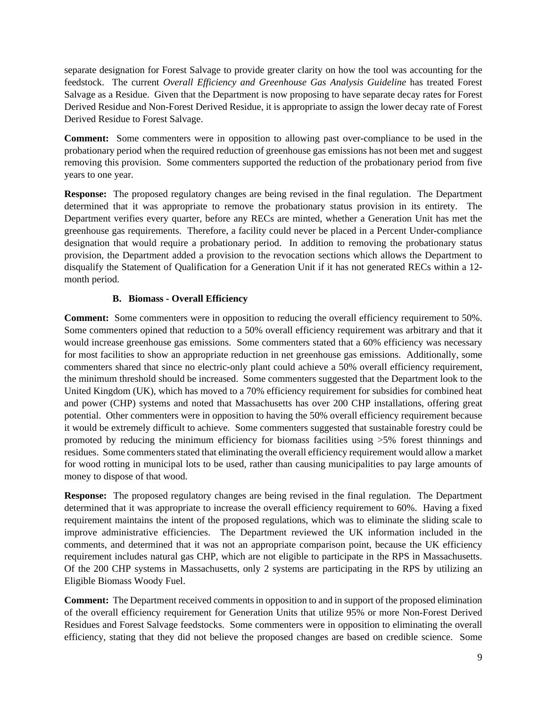separate designation for Forest Salvage to provide greater clarity on how the tool was accounting for the feedstock. The current *Overall Efficiency and Greenhouse Gas Analysis Guideline* has treated Forest Salvage as a Residue. Given that the Department is now proposing to have separate decay rates for Forest Derived Residue and Non-Forest Derived Residue, it is appropriate to assign the lower decay rate of Forest Derived Residue to Forest Salvage.

**Comment:** Some commenters were in opposition to allowing past over-compliance to be used in the probationary period when the required reduction of greenhouse gas emissions has not been met and suggest removing this provision. Some commenters supported the reduction of the probationary period from five years to one year.

**Response:** The proposed regulatory changes are being revised in the final regulation. The Department determined that it was appropriate to remove the probationary status provision in its entirety. The Department verifies every quarter, before any RECs are minted, whether a Generation Unit has met the greenhouse gas requirements. Therefore, a facility could never be placed in a Percent Under-compliance designation that would require a probationary period. In addition to removing the probationary status provision, the Department added a provision to the revocation sections which allows the Department to disqualify the Statement of Qualification for a Generation Unit if it has not generated RECs within a 12 month period.

### **B. Biomass - Overall Efficiency**

**Comment:** Some commenters were in opposition to reducing the overall efficiency requirement to 50%. Some commenters opined that reduction to a 50% overall efficiency requirement was arbitrary and that it would increase greenhouse gas emissions. Some commenters stated that a 60% efficiency was necessary for most facilities to show an appropriate reduction in net greenhouse gas emissions. Additionally, some commenters shared that since no electric-only plant could achieve a 50% overall efficiency requirement, the minimum threshold should be increased. Some commenters suggested that the Department look to the United Kingdom (UK), which has moved to a 70% efficiency requirement for subsidies for combined heat and power (CHP) systems and noted that Massachusetts has over 200 CHP installations, offering great potential. Other commenters were in opposition to having the 50% overall efficiency requirement because it would be extremely difficult to achieve. Some commenters suggested that sustainable forestry could be promoted by reducing the minimum efficiency for biomass facilities using >5% forest thinnings and residues. Some commenters stated that eliminating the overall efficiency requirement would allow a market for wood rotting in municipal lots to be used, rather than causing municipalities to pay large amounts of money to dispose of that wood.

**Response:** The proposed regulatory changes are being revised in the final regulation. The Department determined that it was appropriate to increase the overall efficiency requirement to 60%. Having a fixed requirement maintains the intent of the proposed regulations, which was to eliminate the sliding scale to improve administrative efficiencies. The Department reviewed the UK information included in the comments, and determined that it was not an appropriate comparison point, because the UK efficiency requirement includes natural gas CHP, which are not eligible to participate in the RPS in Massachusetts. Of the 200 CHP systems in Massachusetts, only 2 systems are participating in the RPS by utilizing an Eligible Biomass Woody Fuel.

**Comment:** The Department received comments in opposition to and in support of the proposed elimination of the overall efficiency requirement for Generation Units that utilize 95% or more Non-Forest Derived Residues and Forest Salvage feedstocks. Some commenters were in opposition to eliminating the overall efficiency, stating that they did not believe the proposed changes are based on credible science. Some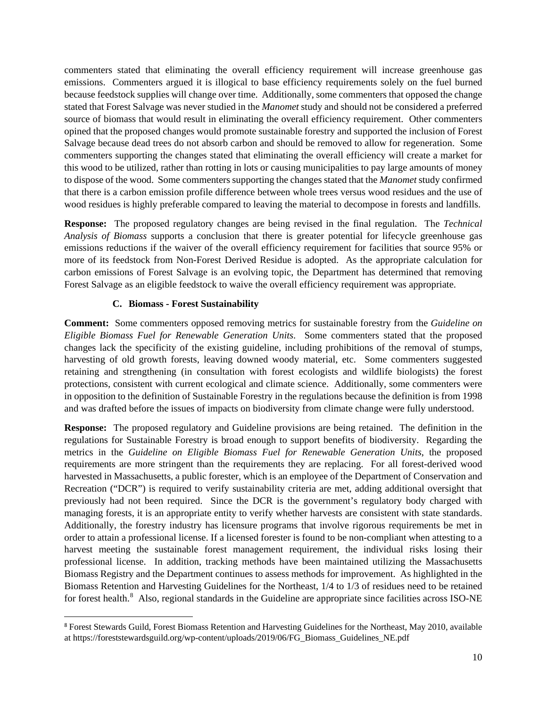commenters stated that eliminating the overall efficiency requirement will increase greenhouse gas emissions. Commenters argued it is illogical to base efficiency requirements solely on the fuel burned because feedstock supplies will change over time. Additionally, some commenters that opposed the change stated that Forest Salvage was never studied in the *Manomet* study and should not be considered a preferred source of biomass that would result in eliminating the overall efficiency requirement. Other commenters opined that the proposed changes would promote sustainable forestry and supported the inclusion of Forest Salvage because dead trees do not absorb carbon and should be removed to allow for regeneration. Some commenters supporting the changes stated that eliminating the overall efficiency will create a market for this wood to be utilized, rather than rotting in lots or causing municipalities to pay large amounts of money to dispose of the wood. Some commenters supporting the changes stated that the *Manomet* study confirmed that there is a carbon emission profile difference between whole trees versus wood residues and the use of wood residues is highly preferable compared to leaving the material to decompose in forests and landfills.

**Response:** The proposed regulatory changes are being revised in the final regulation. The *Technical Analysis of Biomass* supports a conclusion that there is greater potential for lifecycle greenhouse gas emissions reductions if the waiver of the overall efficiency requirement for facilities that source 95% or more of its feedstock from Non-Forest Derived Residue is adopted. As the appropriate calculation for carbon emissions of Forest Salvage is an evolving topic, the Department has determined that removing Forest Salvage as an eligible feedstock to waive the overall efficiency requirement was appropriate.

### **C. Biomass - Forest Sustainability**

**Comment:** Some commenters opposed removing metrics for sustainable forestry from the *[Guideline on](https://www.mass.gov/files/documents/2019/05/01/Guideline%20on%20Eligible%20Biomass%20Fuel%20for%20Renewable%20Generation%20Units%20%28050119%29%20%28002%29.pdf)  [Eligible Biomass Fuel for Renewable Generation Units](https://www.mass.gov/files/documents/2019/05/01/Guideline%20on%20Eligible%20Biomass%20Fuel%20for%20Renewable%20Generation%20Units%20%28050119%29%20%28002%29.pdf)*. Some commenters stated that the proposed changes lack the specificity of the existing guideline, including prohibitions of the removal of stumps, harvesting of old growth forests, leaving downed woody material, etc. Some commenters suggested retaining and strengthening (in consultation with forest ecologists and wildlife biologists) the forest protections, consistent with current ecological and climate science. Additionally, some commenters were in opposition to the definition of Sustainable Forestry in the regulations because the definition is from 1998 and was drafted before the issues of impacts on biodiversity from climate change were fully understood.

**Response:** The proposed regulatory and Guideline provisions are being retained. The definition in the regulations for Sustainable Forestry is broad enough to support benefits of biodiversity. Regarding the metrics in the *[Guideline on Eligible Biomass Fuel for Renewable Generation Units](https://www.mass.gov/files/documents/2019/05/01/Guideline%20on%20Eligible%20Biomass%20Fuel%20for%20Renewable%20Generation%20Units%20%28050119%29%20%28002%29.pdf)*, the proposed requirements are more stringent than the requirements they are replacing. For all forest-derived wood harvested in Massachusetts, a public forester, which is an employee of the Department of Conservation and Recreation ("DCR") is required to verify sustainability criteria are met, adding additional oversight that previously had not been required. Since the DCR is the government's regulatory body charged with managing forests, it is an appropriate entity to verify whether harvests are consistent with state standards. Additionally, the forestry industry has licensure programs that involve rigorous requirements be met in order to attain a professional license. If a licensed forester is found to be non-compliant when attesting to a harvest meeting the sustainable forest management requirement, the individual risks losing their professional license. In addition, tracking methods have been maintained utilizing the Massachusetts Biomass Registry and the Department continues to assess methods for improvement. As highlighted in the Biomass Retention and Harvesting Guidelines for the Northeast, 1/4 to 1/3 of residues need to be retained for forest health.<sup>[8](#page-9-0)</sup> Also, regional standards in the Guideline are appropriate since facilities across ISO-NE

<span id="page-9-0"></span><sup>8</sup> Forest Stewards Guild, Forest Biomass Retention and Harvesting Guidelines for the Northeast, May 2010, available at https://foreststewardsguild.org/wp-content/uploads/2019/06/FG\_Biomass\_Guidelines\_NE.pdf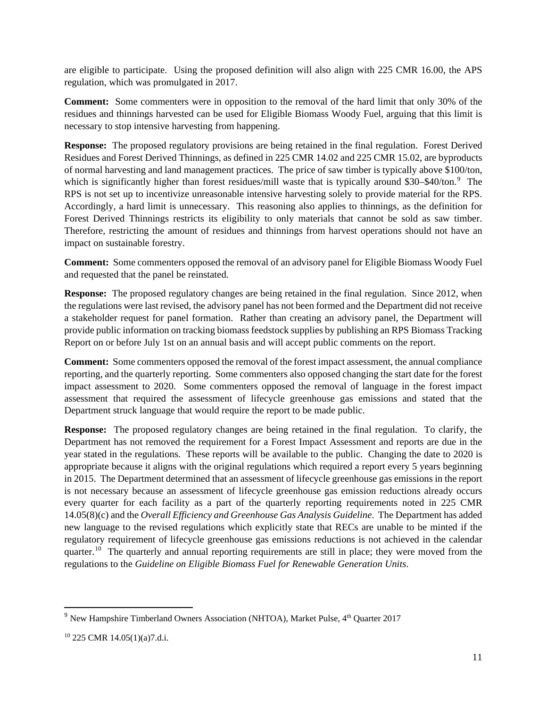are eligible to participate. Using the proposed definition will also align with 225 CMR 16.00, the APS regulation, which was promulgated in 2017.

**Comment:** Some commenters were in opposition to the removal of the hard limit that only 30% of the residues and thinnings harvested can be used for Eligible Biomass Woody Fuel, arguing that this limit is necessary to stop intensive harvesting from happening.

**Response:** The proposed regulatory provisions are being retained in the final regulation. Forest Derived Residues and Forest Derived Thinnings, as defined in 225 CMR 14.02 and 225 CMR 15.02, are byproducts of normal harvesting and land management practices. The price of saw timber is typically above \$100/ton, which is significantly higher than forest residues/mill waste that is typically around \$30-\$40/ton.<sup>[9](#page-10-0)</sup> The RPS is not set up to incentivize unreasonable intensive harvesting solely to provide material for the RPS. Accordingly, a hard limit is unnecessary. This reasoning also applies to thinnings, as the definition for Forest Derived Thinnings restricts its eligibility to only materials that cannot be sold as saw timber. Therefore, restricting the amount of residues and thinnings from harvest operations should not have an impact on sustainable forestry.

**Comment:** Some commenters opposed the removal of an advisory panel for Eligible Biomass Woody Fuel and requested that the panel be reinstated.

**Response:** The proposed regulatory changes are being retained in the final regulation. Since 2012, when the regulations were last revised, the advisory panel has not been formed and the Department did not receive a stakeholder request for panel formation. Rather than creating an advisory panel, the Department will provide public information on tracking biomass feedstock supplies by publishing an RPS Biomass Tracking Report on or before July 1st on an annual basis and will accept public comments on the report.

**Comment:** Some commenters opposed the removal of the forest impact assessment, the annual compliance reporting, and the quarterly reporting. Some commenters also opposed changing the start date for the forest impact assessment to 2020. Some commenters opposed the removal of language in the forest impact assessment that required the assessment of lifecycle greenhouse gas emissions and stated that the Department struck language that would require the report to be made public.

**Response:** The proposed regulatory changes are being retained in the final regulation. To clarify, the Department has not removed the requirement for a Forest Impact Assessment and reports are due in the year stated in the regulations. These reports will be available to the public. Changing the date to 2020 is appropriate because it aligns with the original regulations which required a report every 5 years beginning in 2015. The Department determined that an assessment of lifecycle greenhouse gas emissions in the report is not necessary because an assessment of lifecycle greenhouse gas emission reductions already occurs every quarter for each facility as a part of the quarterly reporting requirements noted in 225 CMR 14.05(8)(c) and the *Overall Efficiency and Greenhouse Gas Analysis Guideline*. The Department has added new language to the revised regulations which explicitly state that RECs are unable to be minted if the regulatory requirement of lifecycle greenhouse gas emissions reductions is not achieved in the calendar quarter.<sup>[10](#page-10-1)</sup> The quarterly and annual reporting requirements are still in place; they were moved from the regulations to the *[Guideline on Eligible Biomass Fuel for Renewable Generation Units](https://www.mass.gov/files/documents/2019/05/01/Guideline%20on%20Eligible%20Biomass%20Fuel%20for%20Renewable%20Generation%20Units%20%28050119%29%20%28002%29.pdf)*.

<span id="page-10-0"></span> $9$  New Hampshire Timberland Owners Association (NHTOA), Market Pulse,  $4<sup>th</sup>$  Quarter 2017

<span id="page-10-1"></span><sup>10</sup> 225 CMR 14.05(1)(a)7.d.i.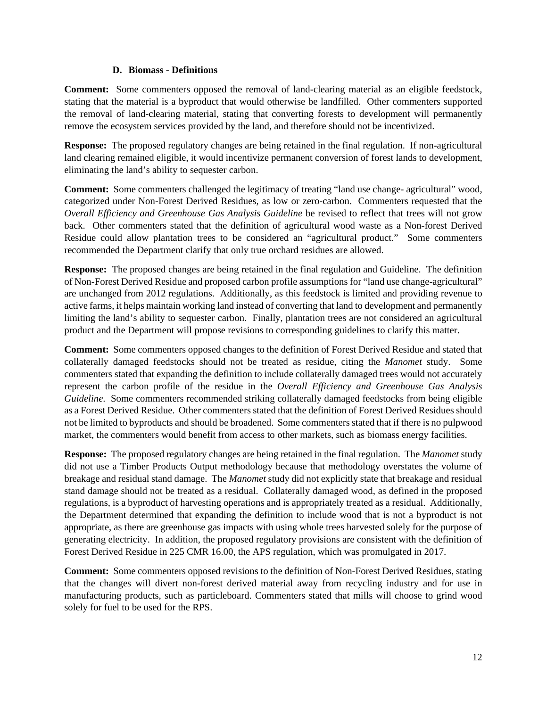#### **D. Biomass - Definitions**

**Comment:** Some commenters opposed the removal of land-clearing material as an eligible feedstock, stating that the material is a byproduct that would otherwise be landfilled. Other commenters supported the removal of land-clearing material, stating that converting forests to development will permanently remove the ecosystem services provided by the land, and therefore should not be incentivized.

**Response:** The proposed regulatory changes are being retained in the final regulation. If non-agricultural land clearing remained eligible, it would incentivize permanent conversion of forest lands to development, eliminating the land's ability to sequester carbon.

**Comment:** Some commenters challenged the legitimacy of treating "land use change- agricultural" wood, categorized under Non-Forest Derived Residues, as low or zero-carbon. Commenters requested that the *Overall Efficiency and Greenhouse Gas Analysis Guideline* be revised to reflect that trees will not grow back. Other commenters stated that the definition of agricultural wood waste as a Non-forest Derived Residue could allow plantation trees to be considered an "agricultural product." Some commenters recommended the Department clarify that only true orchard residues are allowed.

**Response:** The proposed changes are being retained in the final regulation and Guideline. The definition of Non-Forest Derived Residue and proposed carbon profile assumptions for "land use change-agricultural" are unchanged from 2012 regulations. Additionally, as this feedstock is limited and providing revenue to active farms, it helps maintain working land instead of converting that land to development and permanently limiting the land's ability to sequester carbon. Finally, plantation trees are not considered an agricultural product and the Department will propose revisions to corresponding guidelines to clarify this matter.

**Comment:** Some commenters opposed changes to the definition of Forest Derived Residue and stated that collaterally damaged feedstocks should not be treated as residue, citing the *Manomet* study. Some commenters stated that expanding the definition to include collaterally damaged trees would not accurately represent the carbon profile of the residue in the *Overall Efficiency and Greenhouse Gas Analysis Guideline*. Some commenters recommended striking collaterally damaged feedstocks from being eligible as a Forest Derived Residue. Other commenters stated that the definition of Forest Derived Residues should not be limited to byproducts and should be broadened. Some commenters stated that if there is no pulpwood market, the commenters would benefit from access to other markets, such as biomass energy facilities.

**Response:** The proposed regulatory changes are being retained in the final regulation. The *Manomet* study did not use a Timber Products Output methodology because that methodology overstates the volume of breakage and residual stand damage. The *Manomet* study did not explicitly state that breakage and residual stand damage should not be treated as a residual. Collaterally damaged wood, as defined in the proposed regulations, is a byproduct of harvesting operations and is appropriately treated as a residual. Additionally, the Department determined that expanding the definition to include wood that is not a byproduct is not appropriate, as there are greenhouse gas impacts with using whole trees harvested solely for the purpose of generating electricity. In addition, the proposed regulatory provisions are consistent with the definition of Forest Derived Residue in 225 CMR 16.00, the APS regulation, which was promulgated in 2017.

**Comment:** Some commenters opposed revisions to the definition of Non-Forest Derived Residues, stating that the changes will divert non-forest derived material away from recycling industry and for use in manufacturing products, such as particleboard. Commenters stated that mills will choose to grind wood solely for fuel to be used for the RPS.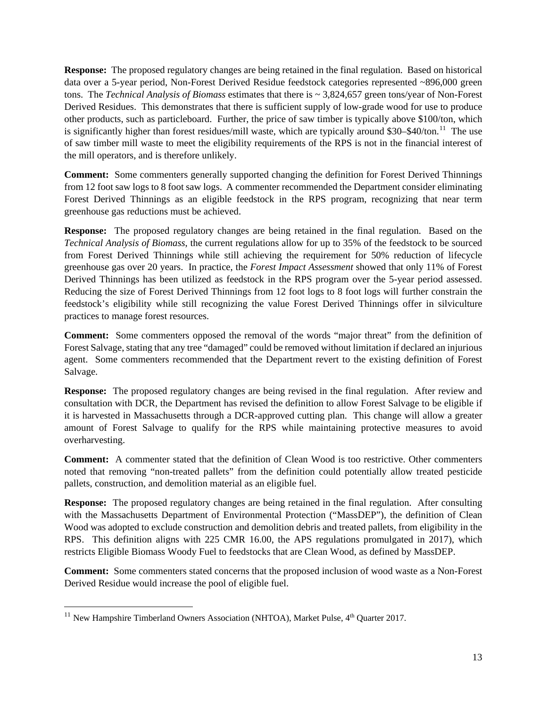**Response:** The proposed regulatory changes are being retained in the final regulation. Based on historical data over a 5-year period, Non-Forest Derived Residue feedstock categories represented ~896,000 green tons. The *Technical Analysis of Biomass* estimates that there is ~ 3,824,657 green tons/year of Non-Forest Derived Residues. This demonstrates that there is sufficient supply of low-grade wood for use to produce other products, such as particleboard. Further, the price of saw timber is typically above \$100/ton, which is significantly higher than forest residues/mill waste, which are typically around \$30–\$40/ton.<sup>[11](#page-12-0)</sup> The use of saw timber mill waste to meet the eligibility requirements of the RPS is not in the financial interest of the mill operators, and is therefore unlikely.

**Comment:** Some commenters generally supported changing the definition for Forest Derived Thinnings from 12 foot saw logs to 8 foot saw logs. A commenter recommended the Department consider eliminating Forest Derived Thinnings as an eligible feedstock in the RPS program, recognizing that near term greenhouse gas reductions must be achieved.

**Response:** The proposed regulatory changes are being retained in the final regulation. Based on the *Technical Analysis of Biomass*, the current regulations allow for up to 35% of the feedstock to be sourced from Forest Derived Thinnings while still achieving the requirement for 50% reduction of lifecycle greenhouse gas over 20 years. In practice, the *Forest Impact Assessment* showed that only 11% of Forest Derived Thinnings has been utilized as feedstock in the RPS program over the 5-year period assessed. Reducing the size of Forest Derived Thinnings from 12 foot logs to 8 foot logs will further constrain the feedstock's eligibility while still recognizing the value Forest Derived Thinnings offer in silviculture practices to manage forest resources.

**Comment:** Some commenters opposed the removal of the words "major threat" from the definition of Forest Salvage, stating that any tree "damaged" could be removed without limitation if declared an injurious agent. Some commenters recommended that the Department revert to the existing definition of Forest Salvage.

**Response:** The proposed regulatory changes are being revised in the final regulation. After review and consultation with DCR, the Department has revised the definition to allow Forest Salvage to be eligible if it is harvested in Massachusetts through a DCR-approved cutting plan. This change will allow a greater amount of Forest Salvage to qualify for the RPS while maintaining protective measures to avoid overharvesting.

**Comment:** A commenter stated that the definition of Clean Wood is too restrictive. Other commenters noted that removing "non-treated pallets" from the definition could potentially allow treated pesticide pallets, construction, and demolition material as an eligible fuel.

**Response:** The proposed regulatory changes are being retained in the final regulation. After consulting with the Massachusetts Department of Environmental Protection ("MassDEP"), the definition of Clean Wood was adopted to exclude construction and demolition debris and treated pallets, from eligibility in the RPS. This definition aligns with 225 CMR 16.00, the APS regulations promulgated in 2017), which restricts Eligible Biomass Woody Fuel to feedstocks that are Clean Wood, as defined by MassDEP.

**Comment:** Some commenters stated concerns that the proposed inclusion of wood waste as a Non-Forest Derived Residue would increase the pool of eligible fuel.

<span id="page-12-0"></span><sup>&</sup>lt;sup>11</sup> New Hampshire Timberland Owners Association (NHTOA), Market Pulse,  $4<sup>th</sup>$  Quarter 2017.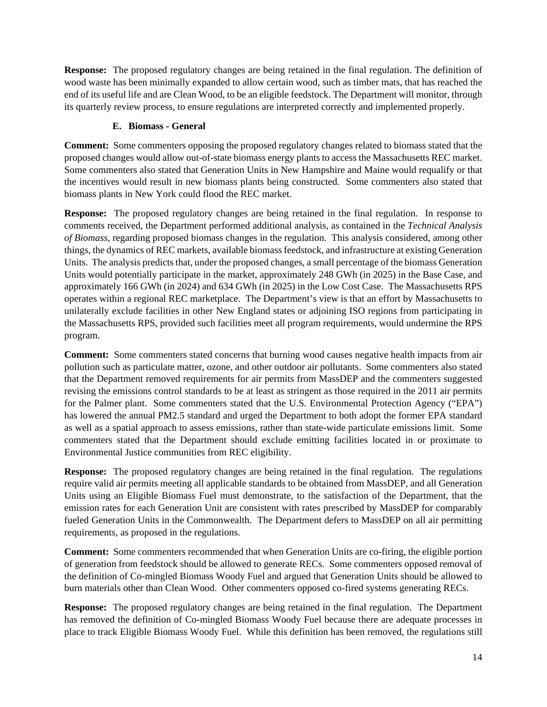**Response:** The proposed regulatory changes are being retained in the final regulation. The definition of wood waste has been minimally expanded to allow certain wood, such as timber mats, that has reached the end of its useful life and are Clean Wood, to be an eligible feedstock. The Department will monitor, through its quarterly review process, to ensure regulations are interpreted correctly and implemented properly.

# **E. Biomass - General**

**Comment:** Some commenters opposing the proposed regulatory changes related to biomass stated that the proposed changes would allow out-of-state biomass energy plants to access the Massachusetts REC market. Some commenters also stated that Generation Units in New Hampshire and Maine would requalify or that the incentives would result in new biomass plants being constructed. Some commenters also stated that biomass plants in New York could flood the REC market.

**Response:** The proposed regulatory changes are being retained in the final regulation. In response to comments received, the Department performed additional analysis, as contained in the *Technical Analysis of Biomass,* regarding proposed biomass changes in the regulation. This analysis considered, among other things, the dynamics of REC markets, available biomass feedstock, and infrastructure at existing Generation Units. The analysis predicts that, under the proposed changes, a small percentage of the biomass Generation Units would potentially participate in the market, approximately 248 GWh (in 2025) in the Base Case, and approximately 166 GWh (in 2024) and 634 GWh (in 2025) in the Low Cost Case. The Massachusetts RPS operates within a regional REC marketplace. The Department's view is that an effort by Massachusetts to unilaterally exclude facilities in other New England states or adjoining ISO regions from participating in the Massachusetts RPS, provided such facilities meet all program requirements, would undermine the RPS program.

**Comment:** Some commenters stated concerns that burning wood causes negative health impacts from air pollution such as particulate matter, ozone, and other outdoor air pollutants. Some commenters also stated that the Department removed requirements for air permits from MassDEP and the commenters suggested revising the emissions control standards to be at least as stringent as those required in the 2011 air permits for the Palmer plant. Some commenters stated that the U.S. Environmental Protection Agency ("EPA") has lowered the annual PM2.5 standard and urged the Department to both adopt the former EPA standard as well as a spatial approach to assess emissions, rather than state-wide particulate emissions limit. Some commenters stated that the Department should exclude emitting facilities located in or proximate to Environmental Justice communities from REC eligibility.

**Response:** The proposed regulatory changes are being retained in the final regulation. The regulations require valid air permits meeting all applicable standards to be obtained from MassDEP, and all Generation Units using an Eligible Biomass Fuel must demonstrate, to the satisfaction of the Department, that the emission rates for each Generation Unit are consistent with rates prescribed by MassDEP for comparably fueled Generation Units in the Commonwealth. The Department defers to MassDEP on all air permitting requirements, as proposed in the regulations.

**Comment:** Some commenters recommended that when Generation Units are co-firing, the eligible portion of generation from feedstock should be allowed to generate RECs. Some commenters opposed removal of the definition of Co-mingled Biomass Woody Fuel and argued that Generation Units should be allowed to burn materials other than Clean Wood. Other commenters opposed co-fired systems generating RECs.

**Response:** The proposed regulatory changes are being retained in the final regulation. The Department has removed the definition of Co-mingled Biomass Woody Fuel because there are adequate processes in place to track Eligible Biomass Woody Fuel. While this definition has been removed, the regulations still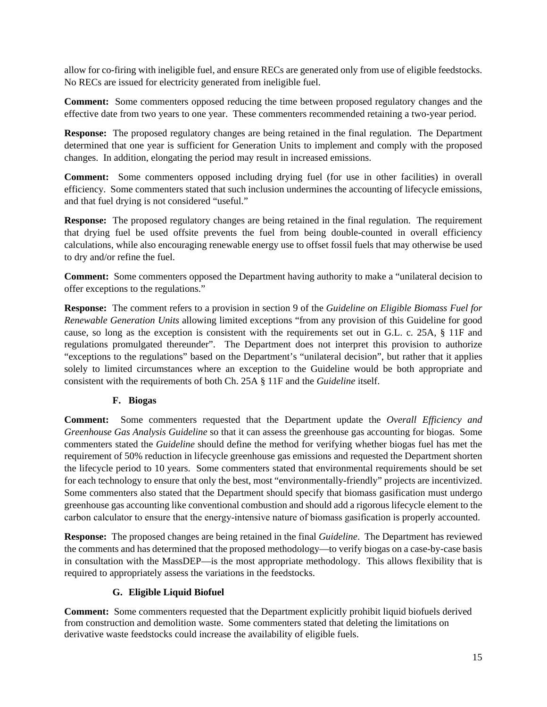allow for co-firing with ineligible fuel, and ensure RECs are generated only from use of eligible feedstocks. No RECs are issued for electricity generated from ineligible fuel.

**Comment:** Some commenters opposed reducing the time between proposed regulatory changes and the effective date from two years to one year. These commenters recommended retaining a two-year period.

**Response:** The proposed regulatory changes are being retained in the final regulation. The Department determined that one year is sufficient for Generation Units to implement and comply with the proposed changes. In addition, elongating the period may result in increased emissions.

**Comment:** Some commenters opposed including drying fuel (for use in other facilities) in overall efficiency. Some commenters stated that such inclusion undermines the accounting of lifecycle emissions, and that fuel drying is not considered "useful."

**Response:** The proposed regulatory changes are being retained in the final regulation. The requirement that drying fuel be used offsite prevents the fuel from being double-counted in overall efficiency calculations, while also encouraging renewable energy use to offset fossil fuels that may otherwise be used to dry and/or refine the fuel.

**Comment:** Some commenters opposed the Department having authority to make a "unilateral decision to offer exceptions to the regulations."

**Response:** The comment refers to a provision in section 9 of the *Guideline on Eligible Biomass Fuel for Renewable Generation Units* allowing limited exceptions "from any provision of this Guideline for good cause, so long as the exception is consistent with the requirements set out in G.L. c. 25A, § 11F and regulations promulgated thereunder". The Department does not interpret this provision to authorize "exceptions to the regulations" based on the Department's "unilateral decision", but rather that it applies solely to limited circumstances where an exception to the Guideline would be both appropriate and consistent with the requirements of both Ch. 25A § 11F and the *Guideline* itself.

## **F. Biogas**

**Comment:** Some commenters requested that the Department update the *Overall Efficiency and Greenhouse Gas Analysis Guideline* so that it can assess the greenhouse gas accounting for biogas. Some commenters stated the *Guideline* should define the method for verifying whether biogas fuel has met the requirement of 50% reduction in lifecycle greenhouse gas emissions and requested the Department shorten the lifecycle period to 10 years. Some commenters stated that environmental requirements should be set for each technology to ensure that only the best, most "environmentally-friendly" projects are incentivized. Some commenters also stated that the Department should specify that biomass gasification must undergo greenhouse gas accounting like conventional combustion and should add a rigorous lifecycle element to the carbon calculator to ensure that the energy-intensive nature of biomass gasification is properly accounted.

**Response:** The proposed changes are being retained in the final *Guideline*. The Department has reviewed the comments and has determined that the proposed methodology—to verify biogas on a case-by-case basis in consultation with the MassDEP—is the most appropriate methodology. This allows flexibility that is required to appropriately assess the variations in the feedstocks.

## **G. Eligible Liquid Biofuel**

**Comment:** Some commenters requested that the Department explicitly prohibit liquid biofuels derived from construction and demolition waste. Some commenters stated that deleting the limitations on derivative waste feedstocks could increase the availability of eligible fuels.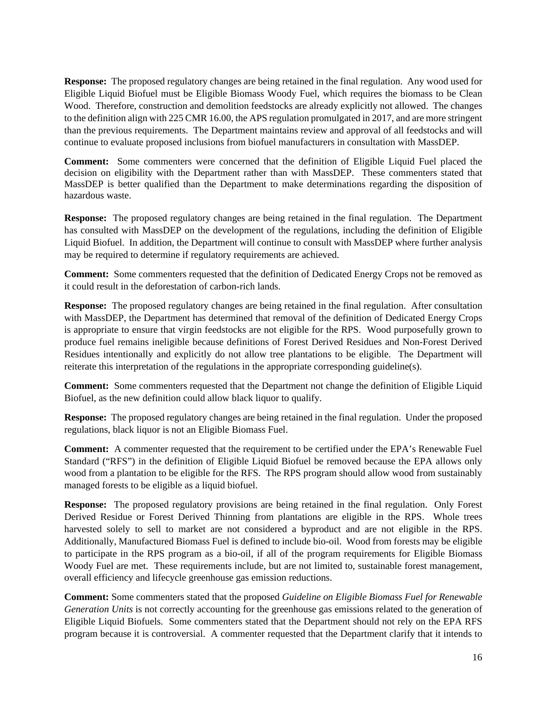**Response:** The proposed regulatory changes are being retained in the final regulation. Any wood used for Eligible Liquid Biofuel must be Eligible Biomass Woody Fuel, which requires the biomass to be Clean Wood. Therefore, construction and demolition feedstocks are already explicitly not allowed. The changes to the definition align with 225 CMR 16.00, the APS regulation promulgated in 2017, and are more stringent than the previous requirements. The Department maintains review and approval of all feedstocks and will continue to evaluate proposed inclusions from biofuel manufacturers in consultation with MassDEP.

**Comment:** Some commenters were concerned that the definition of Eligible Liquid Fuel placed the decision on eligibility with the Department rather than with MassDEP. These commenters stated that MassDEP is better qualified than the Department to make determinations regarding the disposition of hazardous waste.

**Response:** The proposed regulatory changes are being retained in the final regulation. The Department has consulted with MassDEP on the development of the regulations, including the definition of Eligible Liquid Biofuel. In addition, the Department will continue to consult with MassDEP where further analysis may be required to determine if regulatory requirements are achieved.

**Comment:** Some commenters requested that the definition of Dedicated Energy Crops not be removed as it could result in the deforestation of carbon-rich lands.

**Response:** The proposed regulatory changes are being retained in the final regulation. After consultation with MassDEP, the Department has determined that removal of the definition of Dedicated Energy Crops is appropriate to ensure that virgin feedstocks are not eligible for the RPS. Wood purposefully grown to produce fuel remains ineligible because definitions of Forest Derived Residues and Non-Forest Derived Residues intentionally and explicitly do not allow tree plantations to be eligible. The Department will reiterate this interpretation of the regulations in the appropriate corresponding guideline(s).

**Comment:** Some commenters requested that the Department not change the definition of Eligible Liquid Biofuel, as the new definition could allow black liquor to qualify.

**Response:** The proposed regulatory changes are being retained in the final regulation. Under the proposed regulations, black liquor is not an Eligible Biomass Fuel.

**Comment:** A commenter requested that the requirement to be certified under the EPA's Renewable Fuel Standard ("RFS") in the definition of Eligible Liquid Biofuel be removed because the EPA allows only wood from a plantation to be eligible for the RFS. The RPS program should allow wood from sustainably managed forests to be eligible as a liquid biofuel.

**Response:** The proposed regulatory provisions are being retained in the final regulation. Only Forest Derived Residue or Forest Derived Thinning from plantations are eligible in the RPS. Whole trees harvested solely to sell to market are not considered a byproduct and are not eligible in the RPS. Additionally, Manufactured Biomass Fuel is defined to include bio-oil. Wood from forests may be eligible to participate in the RPS program as a bio-oil, if all of the program requirements for Eligible Biomass Woody Fuel are met. These requirements include, but are not limited to, sustainable forest management, overall efficiency and lifecycle greenhouse gas emission reductions.

**Comment:** Some commenters stated that the proposed *Guideline on Eligible Biomass Fuel for Renewable Generation Units* is not correctly accounting for the greenhouse gas emissions related to the generation of Eligible Liquid Biofuels. Some commenters stated that the Department should not rely on the EPA RFS program because it is controversial. A commenter requested that the Department clarify that it intends to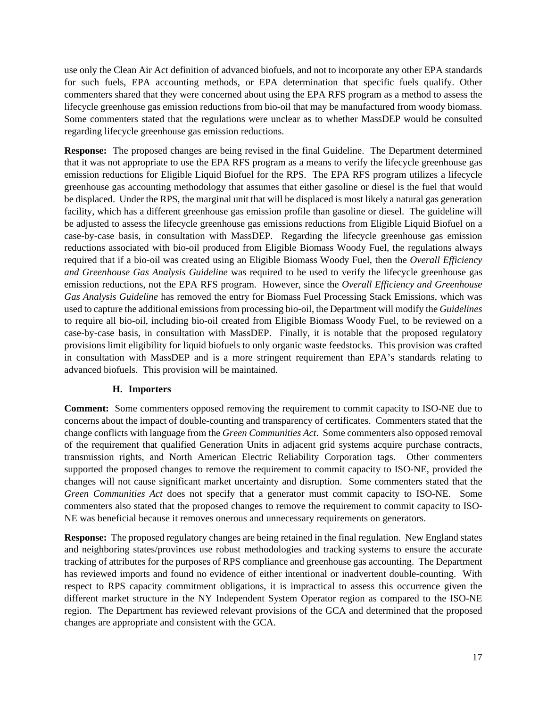use only the Clean Air Act definition of advanced biofuels, and not to incorporate any other EPA standards for such fuels, EPA accounting methods, or EPA determination that specific fuels qualify. Other commenters shared that they were concerned about using the EPA RFS program as a method to assess the lifecycle greenhouse gas emission reductions from bio-oil that may be manufactured from woody biomass. Some commenters stated that the regulations were unclear as to whether MassDEP would be consulted regarding lifecycle greenhouse gas emission reductions.

**Response:** The proposed changes are being revised in the final Guideline. The Department determined that it was not appropriate to use the EPA RFS program as a means to verify the lifecycle greenhouse gas emission reductions for Eligible Liquid Biofuel for the RPS. The EPA RFS program utilizes a lifecycle greenhouse gas accounting methodology that assumes that either gasoline or diesel is the fuel that would be displaced. Under the RPS, the marginal unit that will be displaced is most likely a natural gas generation facility, which has a different greenhouse gas emission profile than gasoline or diesel. The guideline will be adjusted to assess the lifecycle greenhouse gas emissions reductions from Eligible Liquid Biofuel on a case-by-case basis, in consultation with MassDEP. Regarding the lifecycle greenhouse gas emission reductions associated with bio-oil produced from Eligible Biomass Woody Fuel, the regulations always required that if a bio-oil was created using an Eligible Biomass Woody Fuel, then the *Overall Efficiency and Greenhouse Gas Analysis Guideline* was required to be used to verify the lifecycle greenhouse gas emission reductions, not the EPA RFS program. However, since the *Overall Efficiency and Greenhouse Gas Analysis Guideline* has removed the entry for Biomass Fuel Processing Stack Emissions, which was used to capture the additional emissions from processing bio-oil, the Department will modify the *Guidelines* to require all bio-oil, including bio-oil created from Eligible Biomass Woody Fuel, to be reviewed on a case-by-case basis, in consultation with MassDEP. Finally, it is notable that the proposed regulatory provisions limit eligibility for liquid biofuels to only organic waste feedstocks. This provision was crafted in consultation with MassDEP and is a more stringent requirement than EPA's standards relating to advanced biofuels. This provision will be maintained.

### **H. Importers**

**Comment:** Some commenters opposed removing the requirement to commit capacity to ISO-NE due to concerns about the impact of double-counting and transparency of certificates. Commenters stated that the change conflicts with language from the *Green Communities Act*. Some commenters also opposed removal of the requirement that qualified Generation Units in adjacent grid systems acquire purchase contracts, transmission rights, and North American Electric Reliability Corporation tags. Other commenters supported the proposed changes to remove the requirement to commit capacity to ISO-NE, provided the changes will not cause significant market uncertainty and disruption. Some commenters stated that the *Green Communities Act* does not specify that a generator must commit capacity to ISO-NE. Some commenters also stated that the proposed changes to remove the requirement to commit capacity to ISO-NE was beneficial because it removes onerous and unnecessary requirements on generators.

**Response:** The proposed regulatory changes are being retained in the final regulation. New England states and neighboring states/provinces use robust methodologies and tracking systems to ensure the accurate tracking of attributes for the purposes of RPS compliance and greenhouse gas accounting. The Department has reviewed imports and found no evidence of either intentional or inadvertent double-counting. With respect to RPS capacity commitment obligations, it is impractical to assess this occurrence given the different market structure in the NY Independent System Operator region as compared to the ISO-NE region. The Department has reviewed relevant provisions of the GCA and determined that the proposed changes are appropriate and consistent with the GCA.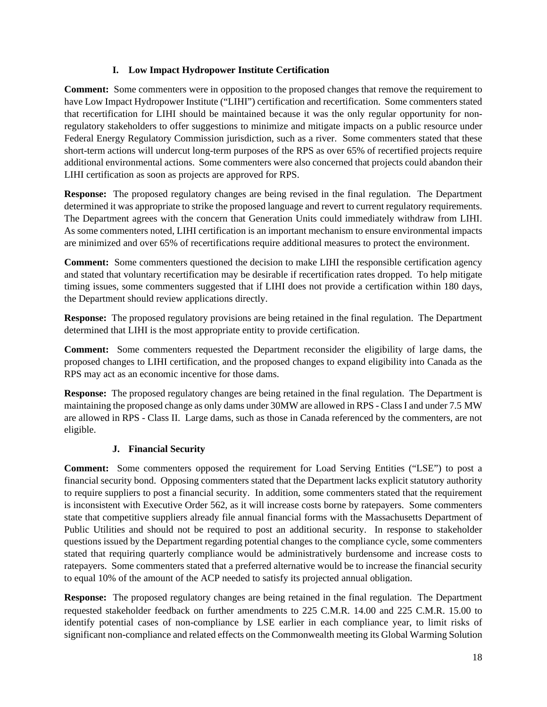## **I. Low Impact Hydropower Institute Certification**

**Comment:** Some commenters were in opposition to the proposed changes that remove the requirement to have Low Impact Hydropower Institute ("LIHI") certification and recertification. Some commenters stated that recertification for LIHI should be maintained because it was the only regular opportunity for nonregulatory stakeholders to offer suggestions to minimize and mitigate impacts on a public resource under Federal Energy Regulatory Commission jurisdiction, such as a river. Some commenters stated that these short-term actions will undercut long-term purposes of the RPS as over 65% of recertified projects require additional environmental actions. Some commenters were also concerned that projects could abandon their LIHI certification as soon as projects are approved for RPS.

**Response:** The proposed regulatory changes are being revised in the final regulation. The Department determined it was appropriate to strike the proposed language and revert to current regulatory requirements. The Department agrees with the concern that Generation Units could immediately withdraw from LIHI. As some commenters noted, LIHI certification is an important mechanism to ensure environmental impacts are minimized and over 65% of recertifications require additional measures to protect the environment.

**Comment:** Some commenters questioned the decision to make LIHI the responsible certification agency and stated that voluntary recertification may be desirable if recertification rates dropped. To help mitigate timing issues, some commenters suggested that if LIHI does not provide a certification within 180 days, the Department should review applications directly.

**Response:** The proposed regulatory provisions are being retained in the final regulation. The Department determined that LIHI is the most appropriate entity to provide certification.

**Comment:** Some commenters requested the Department reconsider the eligibility of large dams, the proposed changes to LIHI certification, and the proposed changes to expand eligibility into Canada as the RPS may act as an economic incentive for those dams.

**Response:** The proposed regulatory changes are being retained in the final regulation. The Department is maintaining the proposed change as only dams under 30MW are allowed in RPS - Class I and under 7.5 MW are allowed in RPS - Class II. Large dams, such as those in Canada referenced by the commenters, are not eligible.

# **J. Financial Security**

**Comment:** Some commenters opposed the requirement for Load Serving Entities ("LSE") to post a financial security bond. Opposing commenters stated that the Department lacks explicit statutory authority to require suppliers to post a financial security. In addition, some commenters stated that the requirement is inconsistent with Executive Order 562, as it will increase costs borne by ratepayers. Some commenters state that competitive suppliers already file annual financial forms with the Massachusetts Department of Public Utilities and should not be required to post an additional security. In response to stakeholder questions issued by the Department regarding potential changes to the compliance cycle, some commenters stated that requiring quarterly compliance would be administratively burdensome and increase costs to ratepayers. Some commenters stated that a preferred alternative would be to increase the financial security to equal 10% of the amount of the ACP needed to satisfy its projected annual obligation.

**Response:** The proposed regulatory changes are being retained in the final regulation. The Department requested stakeholder feedback on further amendments to 225 C.M.R. 14.00 and 225 C.M.R. 15.00 to identify potential cases of non-compliance by LSE earlier in each compliance year, to limit risks of significant non-compliance and related effects on the Commonwealth meeting its Global Warming Solution